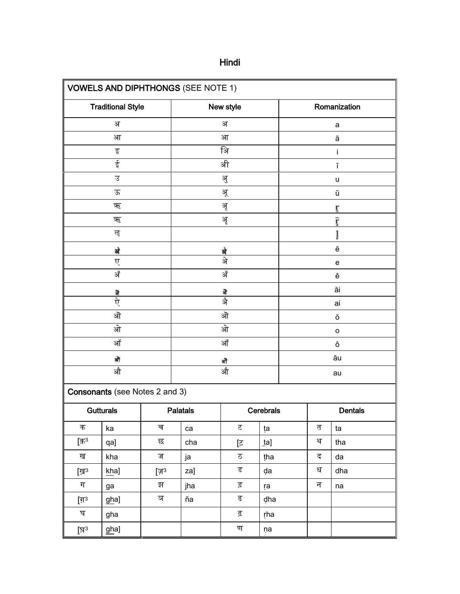| I |  |  |  |  |
|---|--|--|--|--|
|---|--|--|--|--|

| <b>VOWELS AND DIPHTHONGS (SEE NOTE 1)</b> |                                       |      |                       |                                                                                          |                                   |              |    |     |
|-------------------------------------------|---------------------------------------|------|-----------------------|------------------------------------------------------------------------------------------|-----------------------------------|--------------|----|-----|
| <b>Traditional Style</b>                  |                                       |      | New style             |                                                                                          |                                   | Romanization |    |     |
| अ                                         |                                       |      | अ                     |                                                                                          |                                   | a            |    |     |
| आ                                         |                                       |      | आ                     |                                                                                          |                                   | ā            |    |     |
| इ                                         |                                       |      | अि                    |                                                                                          |                                   | İ            |    |     |
| ई                                         |                                       |      | औ                     |                                                                                          | $\overline{1}$                    |              |    |     |
| उ                                         |                                       |      | अु                    |                                                                                          | u                                 |              |    |     |
| ऊ                                         |                                       |      | अू                    |                                                                                          | ū                                 |              |    |     |
| ऋ                                         |                                       |      | अृ                    |                                                                                          |                                   | ŗ            |    |     |
| ॠ                                         |                                       |      | अॄ                    |                                                                                          | ŗ                                 |              |    |     |
| ऌ                                         |                                       |      |                       |                                                                                          |                                   |              |    |     |
| बो                                        |                                       |      | बे                    |                                                                                          | ĕ                                 |              |    |     |
| ए                                         |                                       |      | अ्रे                  |                                                                                          | $\mathsf{e}% _{t}\left( t\right)$ |              |    |     |
| ॲ                                         |                                       |      | अँ                    |                                                                                          | ê                                 |              |    |     |
| 찾                                         |                                       |      | a,                    |                                                                                          | ăi                                |              |    |     |
| ऐ                                         |                                       |      | अै                    |                                                                                          | ai                                |              |    |     |
| ओ                                         |                                       |      | ऒ                     |                                                                                          | Ŏ                                 |              |    |     |
| ओ                                         |                                       |      | ओ                     |                                                                                          | $\mathsf{o}$                      |              |    |     |
| ऑ                                         |                                       |      | ऑ                     |                                                                                          | ô                                 |              |    |     |
| ओ                                         |                                       |      | बौ                    |                                                                                          | ău                                |              |    |     |
| औ                                         |                                       |      | औ                     |                                                                                          | au                                |              |    |     |
|                                           | <b>Consonants</b> (see Notes 2 and 3) |      |                       |                                                                                          |                                   |              |    |     |
| Gutturals                                 |                                       |      | Palatals<br>Cerebrals |                                                                                          | <b>Dentals</b>                    |              |    |     |
| क                                         | ka                                    | च    | ca                    | $\mathfrak{L}% _{G}^{\ast}(\mathbb{R}^{2})\simeq\mathfrak{L}_{G}^{\ast}(\mathbb{R}^{2})$ | ța                                |              | त  | ta  |
| [क़ <sup>3</sup>                          | qa]                                   | छ    | cha                   | [ट़                                                                                      | ta]                               |              |    | tha |
| ख                                         | kha                                   | ज    | ja                    | $\Delta$                                                                                 | tha                               |              | द  | da  |
| [ख़ <sup>3</sup>                          | kha]                                  | [ज़3 | za]                   | ड                                                                                        | da                                |              | ध  | dha |
| ग                                         | ga                                    | झ    | jha                   | ड़                                                                                       | न<br>ra                           |              | na |     |

[ग़<sup>3</sup> | g<u>h</u>a] | ञ | ña | ढ | ḍha घ | gha | | | | ह़ | rha [घ्न<sup>3</sup> | gha] | प | एव